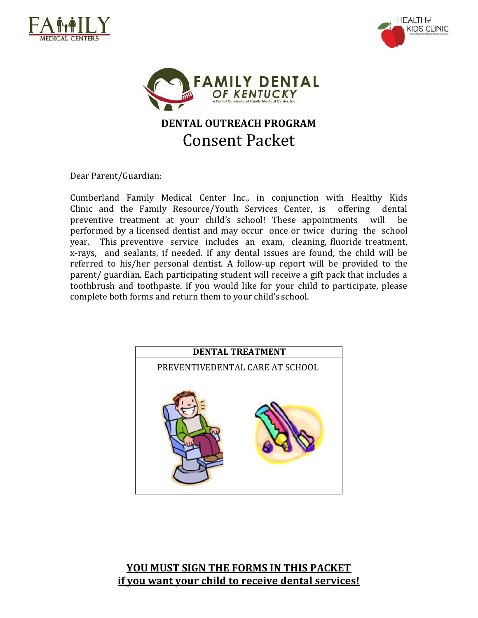





# **DENTAL OUTREACH PROGRAM** Consent Packet

Dear Parent/Guardian:

Cumberland Family Medical Center Inc., in conjunction with Healthy Kids Clinic and the Family Resource/Youth Services Center, is offering dental preventive treatment at your child's school! These appointments will be performed by a licensed dentist and may occur once or twice during the school year. This preventive service includes an exam, cleaning, fluoride treatment, x‐rays, and sealants, if needed. If any dental issues are found, the child will be referred to his/her personal dentist. A follow‐up report will be provided to the parent/ guardian. Each participating student will receive a gift pack that includes a toothbrush and toothpaste. If you would like for your child to participate, please complete both forms and return them to your child's school.



#### **YOU MUST SIGN THE FORMS IN THIS PACKET if you want your child to receive dental services!**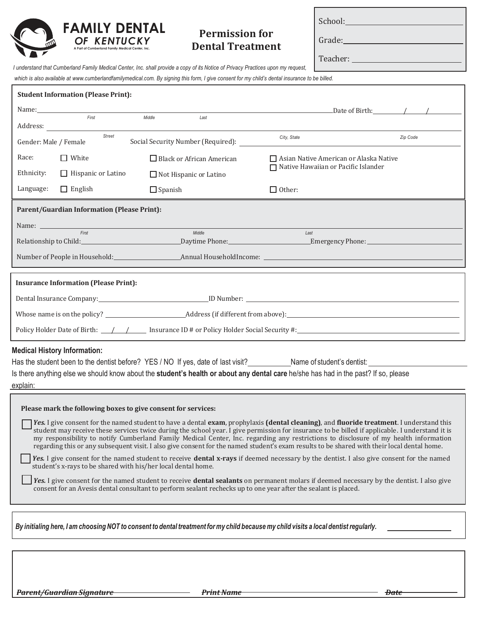

## **Permission for Dental Treatment**

School:

Grade:

Teacher:

*I understand that Cumberland Family Medical Center, Inc. shall provide a copy of its Notice of Privacy Practices upon my request,*

*which is also available a[t www.cumberlandfamilymedical.com.](http://www.cumberlandfamilymedical.com/) By signing this form, I give consent for my child's dental insurance to be billed.*

| <b>Student Information (Please Print):</b>                                                                                                                                                                                                                                                                                                                                                                                                                                                                                                                                          |                                                                            |                |                                  |                                                                                        |                              |  |  |  |
|-------------------------------------------------------------------------------------------------------------------------------------------------------------------------------------------------------------------------------------------------------------------------------------------------------------------------------------------------------------------------------------------------------------------------------------------------------------------------------------------------------------------------------------------------------------------------------------|----------------------------------------------------------------------------|----------------|----------------------------------|----------------------------------------------------------------------------------------|------------------------------|--|--|--|
|                                                                                                                                                                                                                                                                                                                                                                                                                                                                                                                                                                                     | First                                                                      | Middle         |                                  |                                                                                        | Date of Birth: $\sqrt{2\pi}$ |  |  |  |
|                                                                                                                                                                                                                                                                                                                                                                                                                                                                                                                                                                                     | Address:                                                                   |                | Last                             |                                                                                        |                              |  |  |  |
| <b>Street</b><br>Social Security Number (Required):<br>Gender: Male / Female                                                                                                                                                                                                                                                                                                                                                                                                                                                                                                        |                                                                            |                |                                  | Zip Code<br>City, State                                                                |                              |  |  |  |
| Race:                                                                                                                                                                                                                                                                                                                                                                                                                                                                                                                                                                               | $\Box$ White                                                               |                | $\Box$ Black or African American | $\Box$ Asian Native American or Alaska Native<br>□ Native Hawaiian or Pacific Islander |                              |  |  |  |
| Ethnicity:                                                                                                                                                                                                                                                                                                                                                                                                                                                                                                                                                                          | $\Box$ Hispanic or Latino                                                  |                | Not Hispanic or Latino           |                                                                                        |                              |  |  |  |
| Language:                                                                                                                                                                                                                                                                                                                                                                                                                                                                                                                                                                           | $\Box$ English                                                             | $\Box$ Spanish |                                  | $\Box$ Other:                                                                          |                              |  |  |  |
|                                                                                                                                                                                                                                                                                                                                                                                                                                                                                                                                                                                     | <b>Parent/Guardian Information (Please Print):</b>                         |                |                                  |                                                                                        |                              |  |  |  |
|                                                                                                                                                                                                                                                                                                                                                                                                                                                                                                                                                                                     |                                                                            |                |                                  |                                                                                        |                              |  |  |  |
|                                                                                                                                                                                                                                                                                                                                                                                                                                                                                                                                                                                     |                                                                            |                | Middle                           | Last                                                                                   |                              |  |  |  |
|                                                                                                                                                                                                                                                                                                                                                                                                                                                                                                                                                                                     |                                                                            |                |                                  |                                                                                        |                              |  |  |  |
|                                                                                                                                                                                                                                                                                                                                                                                                                                                                                                                                                                                     |                                                                            |                |                                  |                                                                                        |                              |  |  |  |
| <b>Insurance Information (Please Print):</b>                                                                                                                                                                                                                                                                                                                                                                                                                                                                                                                                        |                                                                            |                |                                  |                                                                                        |                              |  |  |  |
|                                                                                                                                                                                                                                                                                                                                                                                                                                                                                                                                                                                     | Dental Insurance Company: 10 Number: 10 Number: 10 Number: 10 Number: 2014 |                |                                  |                                                                                        |                              |  |  |  |
|                                                                                                                                                                                                                                                                                                                                                                                                                                                                                                                                                                                     |                                                                            |                |                                  |                                                                                        |                              |  |  |  |
|                                                                                                                                                                                                                                                                                                                                                                                                                                                                                                                                                                                     |                                                                            |                |                                  |                                                                                        |                              |  |  |  |
|                                                                                                                                                                                                                                                                                                                                                                                                                                                                                                                                                                                     | <b>Medical History Information:</b>                                        |                |                                  |                                                                                        |                              |  |  |  |
| Has the student been to the dentist before? YES / NO If yes, date of last visit? Name of student's dentist:                                                                                                                                                                                                                                                                                                                                                                                                                                                                         |                                                                            |                |                                  |                                                                                        |                              |  |  |  |
| Is there anything else we should know about the student's health or about any dental care he/she has had in the past? If so, please<br>explain:                                                                                                                                                                                                                                                                                                                                                                                                                                     |                                                                            |                |                                  |                                                                                        |                              |  |  |  |
|                                                                                                                                                                                                                                                                                                                                                                                                                                                                                                                                                                                     |                                                                            |                |                                  |                                                                                        |                              |  |  |  |
|                                                                                                                                                                                                                                                                                                                                                                                                                                                                                                                                                                                     | Please mark the following boxes to give consent for services:              |                |                                  |                                                                                        |                              |  |  |  |
| Yes. I give consent for the named student to have a dental exam, prophylaxis (dental cleaning), and fluoride treatment. I understand this<br>student may receive these services twice during the school year. I give permission for insurance to be billed if applicable. I understand it is<br>my responsibility to notify Cumberland Family Medical Center, Inc. regarding any restrictions to disclosure of my health information<br>regarding this or any subsequent visit. I also give consent for the named student's exam results to be shared with their local dental home. |                                                                            |                |                                  |                                                                                        |                              |  |  |  |
| Yes. I give consent for the named student to receive dental x-rays if deemed necessary by the dentist. I also give consent for the named<br>student's x-rays to be shared with his/her local dental home.                                                                                                                                                                                                                                                                                                                                                                           |                                                                            |                |                                  |                                                                                        |                              |  |  |  |
| Yes. I give consent for the named student to receive dental sealants on permanent molars if deemed necessary by the dentist. I also give<br>consent for an Avesis dental consultant to perform sealant rechecks up to one year after the sealant is placed.                                                                                                                                                                                                                                                                                                                         |                                                                            |                |                                  |                                                                                        |                              |  |  |  |
|                                                                                                                                                                                                                                                                                                                                                                                                                                                                                                                                                                                     |                                                                            |                |                                  |                                                                                        |                              |  |  |  |
| $\mid$ By initialing here, I am choosing NOT to consent to dental treatment for my child because my child visits a local dentist regularly.                                                                                                                                                                                                                                                                                                                                                                                                                                         |                                                                            |                |                                  |                                                                                        |                              |  |  |  |